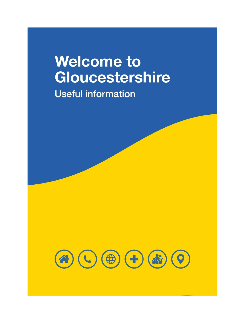# **Welcome to** Gloucestershire

**Useful information** 

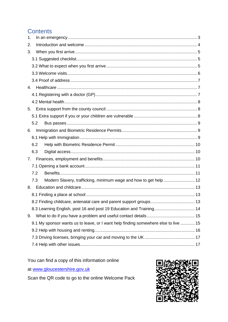# **Contents**

| 1. |                                                                                     |  |
|----|-------------------------------------------------------------------------------------|--|
| 2. |                                                                                     |  |
| 3. |                                                                                     |  |
|    |                                                                                     |  |
|    |                                                                                     |  |
|    |                                                                                     |  |
|    |                                                                                     |  |
| 4. |                                                                                     |  |
|    |                                                                                     |  |
|    |                                                                                     |  |
| 5. |                                                                                     |  |
|    |                                                                                     |  |
|    | 5.2                                                                                 |  |
| 6. |                                                                                     |  |
|    |                                                                                     |  |
|    | 6.2                                                                                 |  |
|    | 6.3                                                                                 |  |
| 7. |                                                                                     |  |
|    |                                                                                     |  |
|    | 7.2                                                                                 |  |
|    | Modern Slavery, trafficking, minimum wage and how to get help  12<br>7.3            |  |
| 8. |                                                                                     |  |
|    |                                                                                     |  |
|    |                                                                                     |  |
|    |                                                                                     |  |
| 9. |                                                                                     |  |
|    | 9.1 My sponsor wants us to leave, or I want help finding somewhere else to live  15 |  |
|    |                                                                                     |  |
|    |                                                                                     |  |
|    |                                                                                     |  |

You can find a copy of this information online

at www.gloucestershire.gov.uk

Scan the QR code to go to the online Welcome Pack

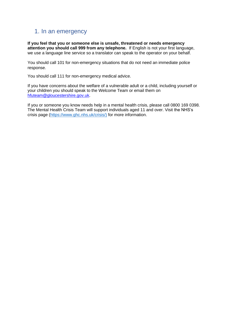# <span id="page-2-0"></span>1. In an emergency

**If you feel that you or someone else is unsafe, threatened or needs emergency attention you should call 999 from any telephone.** If English is not your first language, we use a language line service so a translator can speak to the operator on your behalf.

You should call 101 for non-emergency situations that do not need an immediate police response.

You should call 111 for non-emergency medical advice.

If you have concerns about the welfare of a vulnerable adult or a child, including yourself or your children you should speak to the Welcome Team or email them on [hfuteam@gloucestershire.gov.uk.](mailto:hfuteam@gloucestershire.gov.uk)

If you or someone you know needs help in a mental health crisis, please call 0800 169 0398. The Mental Health Crisis Team will support individuals aged 11 and over. Visit the NHS's crisis page [\(https://www.ghc.nhs.uk/crisis/\)](https://www.ghc.nhs.uk/crisis/) for more information.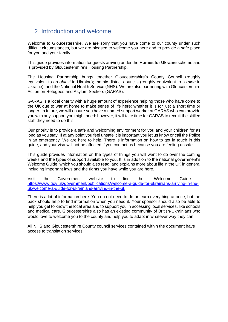# <span id="page-3-0"></span>2. Introduction and welcome

Welcome to Gloucestershire. We are sorry that you have come to our county under such difficult circumstances, but we are pleased to welcome you here and to provide a safe place for you and your family.

This guide provides information for guests arriving under the **Homes for Ukraine** scheme and is provided by Gloucestershire's Housing Partnership.

The Housing Partnership brings together Gloucestershire's County Council (roughly equivalent to an *oblast* in Ukraine); the six district douncils (roughly equivalent to a *raion* in Ukraine); and the National Health Service (NHS). We are also partnering with Gloucestershire Action on Refugees and Asylum Seekers (GARAS).

GARAS is a local charity with a huge amount of experience helping those who have come to the UK due to war at home to make sense of life here: whether it is for just a short time or longer. In future, we will ensure you have a named support worker at GARAS who can provide you with any support you might need: however, it will take time for GARAS to recruit the skilled staff they need to do this.

Our priority is to provide a safe and welcoming environment for you and your children for as long as you stay. If at any point you feel unsafe it is important you let us know or call the Police in an emergency. We are here to help. There is information on how to get in touch in this guide, and your visa will not be affected if you contact us because you are feeling unsafe.

This guide provides information on the types of things you will want to do over the coming weeks and the types of support available to you. It is in addition to the national government's Welcome Guide, which you should also read, and explains more about life in the UK in general including important laws and the rights you have while you are here.

Visit the Government website to find their Welcome Guide [https://www.gov.uk/government/publications/welcome-a-guide-for-ukrainians-arriving-in-the](https://www.gov.uk/government/publications/welcome-a-guide-for-ukrainians-arriving-in-the-uk/welcome-a-guide-for-ukrainians-arriving-in-the-uk)[uk/welcome-a-guide-for-ukrainians-arriving-in-the-uk](https://www.gov.uk/government/publications/welcome-a-guide-for-ukrainians-arriving-in-the-uk/welcome-a-guide-for-ukrainians-arriving-in-the-uk)

There is a lot of information here. You do not need to do or learn everything at once, but the pack should help to find information when you need it. Your sponsor should also be able to help you get to know the local area and to support you in accessing local services, like schools and medical care. Gloucestershire also has an existing community of British-Ukrainians who would love to welcome you to the county and help you to adapt in whatever way they can.

All NHS and Gloucestershire County council services contained within the document have access to translation services.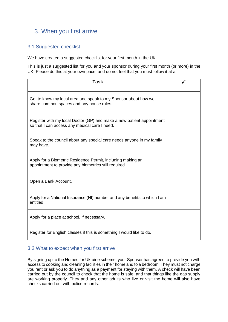# <span id="page-4-0"></span>3. When you first arrive

# <span id="page-4-1"></span>3.1 Suggested checklist

We have created a suggested checklist for your first month in the UK

This is just a suggested list for you and your sponsor during your first month (or more) in the UK. Please do this at your own pace, and do not feel that you must follow it at all.

| <b>Task</b>                                                                                                            |  |
|------------------------------------------------------------------------------------------------------------------------|--|
| Get to know my local area and speak to my Sponsor about how we<br>share common spaces and any house rules.             |  |
| Register with my local Doctor (GP) and make a new patient appointment<br>so that I can access any medical care I need. |  |
| Speak to the council about any special care needs anyone in my family<br>may have.                                     |  |
| Apply for a Biometric Residence Permit, including making an<br>appointment to provide any biometrics still required.   |  |
| Open a Bank Account.                                                                                                   |  |
| Apply for a National Insurance (NI) number and any benefits to which I am<br>entitled.                                 |  |
| Apply for a place at school, if necessary.                                                                             |  |
| Register for English classes if this is something I would like to do.                                                  |  |

#### <span id="page-4-2"></span>3.2 What to expect when you first arrive

By signing up to the Homes for Ukraine scheme, your Sponsor has agreed to provide you with access to cooking and cleaning facilities in their home and to a bedroom. They must not charge you rent or ask you to do anything as a payment for staying with them. A check will have been carried out by the council to check that the home is safe, and that things like the gas supply are working properly. They and any other adults who live or visit the home will also have checks carried out with police records.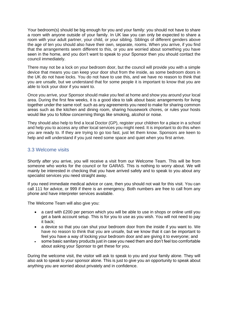Your bedroom(s) should be big enough for you and your family: you should not have to share a room with anyone outside of your family. In UK law you can only be expected to share a room with your adult partner, your child, or your sibling. Siblings of different genders above the age of ten you should also have their own, separate, rooms. When you arrive, if you find that the arrangements seem different to this, or you are worried about something you have seen in the home, and you don't want to speak to your Sponsor then you should contact the council immediately.

There may not be a lock on your bedroom door, but the council will provide you with a simple device that means you can keep your door shut from the inside, as some bedroom doors in the UK do not have locks. You do not have to use this, and we have no reason to think that you are unsafe, but we understand that for some people it is important to know that you are able to lock your door if you want to.

Once you arrive, your Sponsor should make you feel at home and show you around your local area. During the first few weeks, it is a good idea to talk about basic arrangements for living together under the same roof: such as any agreements you need to make for sharing common areas such as the kitchen and dining room, sharing housework chores, or rules your hosts would like you to follow concerning things like smoking, alcohol or noise.

They should also help to find a local Doctor (GP), register your children for a place in a school and help you to access any other local services you might need. It is important to do this when you are ready to. If they are trying to go too fast, just let them know. Sponsors are keen to help and will understand if you just need some space and quiet when you first arrive.

## <span id="page-5-0"></span>3.3 Welcome visits

Shortly after you arrive, you will receive a visit from our Welcome Team. This will be from someone who works for the council or for GARAS. This is nothing to worry about. We will mainly be interested in checking that you have arrived safely and to speak to you about any specialist services you need straight away.

If you need immediate medical advice or care, then you should not wait for this visit. You can call 111 for advice, or 999 if there is an emergency. Both numbers are free to call from any phone and have interpreter services available.

The Welcome Team will also give you:

- a card with £200 per person which you will be able to use in shops or online until you get a bank account setup. This is for you to use as you wish. You will not need to pay it back;
- a device so that you can shut your bedroom door from the inside if you want to. We have no reason to think that you are unsafe, but we know that it can be important to feel you have a way of locking your bedroom door and are giving it to everyone; and
- some basic sanitary products just in case you need them and don't feel too comfortable about asking your Sponsor to get these for you.

During the welcome visit, the visitor will ask to speak to you and your family alone. They will also ask to speak to your sponsor alone. This is just to give you an opportunity to speak about anything you are worried about privately and in confidence.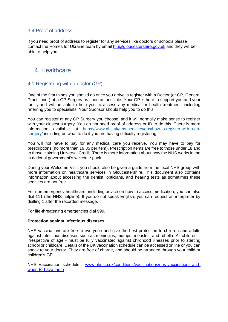# <span id="page-6-0"></span>3.4 Proof of address

If you need proof of address to register for any services like doctors or schools please contact the Homes for Ukraine team by email [hfu@gloucestershire.gov.uk](mailto:hfu@gloucestershire.gov.uk) and they will be able to help you.

# <span id="page-6-1"></span>4. Healthcare

# <span id="page-6-2"></span>4.1 Registering with a doctor (GP)

One of the first things you should do once you arrive is register with a Doctor (or GP, General Practitioner) at a GP Surgery as soon as possible. Your GP is here to support you and your family,and will be able to help you to access any medical or health treatment, including referring you to specialists. Your Sponsor should help you to do this.

You can register at any GP Surgery you choose, and it will normally make sense to register with your closest surgery. You do not need proof of address or ID to do this. There is more information available at [https://www.nhs.uk/nhs-services/gps/how-to-register-with-a-gp](https://www.nhs.uk/nhs-services/gps/how-to-register-with-a-gp-surgery/)[surgery/](https://www.nhs.uk/nhs-services/gps/how-to-register-with-a-gp-surgery/) including on what to do if you are having difficulty registering.

You will not have to pay for any medical care you receive. You may have to pay for prescriptions (no more than £9.35 per item). Prescription items are free to those under 18 and to those claiming Universal Credit. There is more information about how the NHS works in the in national government's welcome pack.

During your Welcome Visit, you should also be given a guide from the local NHS group with more information on healthcare services in Gloucestershire. This document also contains information about accessing the dentist, opticians, and hearing tests as sometimes these services are not free.

For non-emergency healthcare, including advice on how to access medication, you can also dial 111 (the NHS helpline). If you do not speak English, you can request an interpreter by dialling 1 after the recorded message.

For life-threatening emergencies dial 999.

#### **Protection against infectious diseases**

NHS vaccinations are free to everyone and give the best protection to children and adults against infectious diseases such as meningitis, mumps, measles, and rubella. All children – irrespective of age - must be fully vaccinated against childhood illnesses prior to starting school or childcare. Details of the UK vaccination schedule can be accessed online or you can speak to your doctor. They are free of charge, and should be arranged through your child or children's GP.

NHS Vaccination schedule - [www.nhs.co.uk/conditions/vaccinations/nhs-vaccinations-and](http://www.nhs.co.uk/conditions/vaccinations/nhs-vaccinations-and-when-to-have-them)[when-to-have-them](http://www.nhs.co.uk/conditions/vaccinations/nhs-vaccinations-and-when-to-have-them)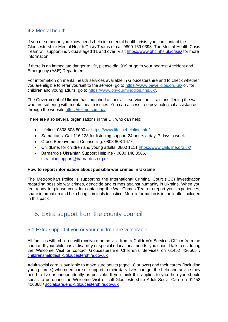# <span id="page-7-0"></span>4.2 Mental health

If you or someone you know needs help in a mental health crisis, you can contact the Gloucestershire Mental Health Crisis Teams or call 0800 169 0398. The Mental Health Crisis Team will support individuals aged 11 and over. Visit<https://www.ghc.nhs.uk/crisis/> for more information.

If there is an immediate danger to life, please dial 999 or go to your nearest Accident and Emergency (A&E) Department.

For information on mental health services available in Gloucestershire and to check whether you are eligible to refer yourself to the service, go to <https://www.bewellglos.org.uk/> or, for children and young adults, go to [https://www.onyourmindglos.nhs.uk/.](https://www.onyourmindglos.nhs.uk/)

The Government of Ukraine has launched a specialist service for Ukrainians fleeing the war who are suffering with mental health issues. You can access free psychological assistance through the website<https://tellme.com.ua/>

There are also several organisations in the UK who can help:

- Lifeline: 0808 808 8000 or<https://www.lifelinehelpline.info/>
- Samaritans: Call 116 123 for listening support 24 hours a day, 7 days a week
- Cruse Bereavement Counselling: 0808 808 1677
- ChildLine, for children and young adults: 0800 1111<https://www.childline.org.uk/>
- Barnardo's Ukrainian Support Helpline 0800 148 8586, [ukrainiansupport@barnardos.org.uk](mailto:ukrainiansupport@barnardos.org.uk)

#### **How to report information about possible war crimes in Ukraine**

The Metropolitan Police is supporting the International Criminal Court (ICC) investigation regarding possible war crimes, genocide and crimes against humanity in Ukraine. When you feel ready to, please consider contacting the War Crimes Team to report your experiences, share information and help bring criminals to justice. More information is in the leaflet included in this pack.

# <span id="page-7-1"></span>5. Extra support from the county council

#### <span id="page-7-2"></span>5.1 Extra support if you or your children are vulnerable

All families with children will receive a home visit from a Children's Services Officer from the council. If your child has a disability or special educational needs, you should talk to us during the Welcome Visit or contact Gloucestershire Children's Services on 01452 426565 / [childrenshelpdesk@gloucestershire.gov.uk](mailto:childrenshelpdesk@gloucestershire.gov.uk)

Adult social care is available to make sure adults (aged 18 or over) and their carers (including young carers) who need care or support in their daily lives can get the help and advice they need to live as independently as possible. If you think this applies to you then you should speak to us during the Welcome Visit or call Gloucestershire Adult Social Care on 01452 426868 / [socialcare.eng@gloucestershire.gov.uk](mailto:socialcare.eng@gloucestershire.gov.uk)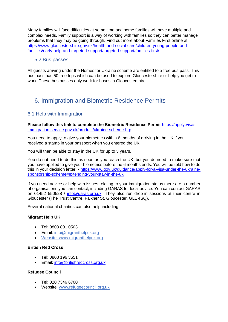Many families will face difficulties at some time and some families will have multiple and complex needs. Family support is a way of working with families so they can better manage problems that they may be going through. Find out more about Families First online at [https://www.gloucestershire.gov.uk/health-and-social-care/children-young-people-and](https://www.gloucestershire.gov.uk/health-and-social-care/children-young-people-and-families/early-help-and-targeted-support/targeted-support/families-first/)[families/early-help-and-targeted-support/targeted-support/families-first/](https://www.gloucestershire.gov.uk/health-and-social-care/children-young-people-and-families/early-help-and-targeted-support/targeted-support/families-first/)

## <span id="page-8-0"></span>5.2 Bus passes

All guests arriving under the Homes for Ukraine scheme are entitled to a free bus pass. This bus pass has 50 free trips which can be used to explore Gloucestershire or help you get to work. These bus passes only work for buses in Gloucestershire.

# <span id="page-8-1"></span>6. Immigration and Biometric Residence Permits

# <span id="page-8-2"></span>6.1 Help with Immigration

**Please follow this link to complete the Biometric Residence Permit** [https://apply.visas](https://apply.visas-immigration.service.gov.uk/product/ukraine-scheme-brp)[immigration.service.gov.uk/product/ukraine-scheme-brp](https://apply.visas-immigration.service.gov.uk/product/ukraine-scheme-brp)

You need to apply to give your biometrics within 6 months of arriving in the UK if you received a stamp in your passport when you entered the UK.

You will then be able to stay in the UK for up to 3 years.

You do not need to do this as soon as you reach the UK, but you do need to make sure that you have applied to give your biometrics before the 6 months ends. You will be told how to do this in your decision letter. - [https://www.gov.uk/guidance/apply-for-a-visa-under-the-ukraine](https://www.gov.uk/guidance/apply-for-a-visa-under-the-ukraine-sponsorship-scheme#extending-your-stay-in-the-uk)[sponsorship-scheme#extending-your-stay-in-the-uk](https://www.gov.uk/guidance/apply-for-a-visa-under-the-ukraine-sponsorship-scheme#extending-your-stay-in-the-uk)

If you need advice or help with issues relating to your immigration status there are a number of organisations you can contact, including GARAS for local advice. You can contact GARAS on 01452 550528 / [info@garas.org.uk](mailto:info@garas.org.uk) They also run drop-in sessions at their centre in Gloucester (The Trust Centre, Falkner St, Gloucester, GL1 4SQ).

Several national charities can also help including:

#### **Migrant Help UK**

- Tel: 0808 801 0503
- Email: [info@migranthelpuk.org](mailto:info@migranthelpuk.org)
- Website: www.migranthelpuk.org

#### **British Red Cross**

- Tel: 0808 196 3651
- Email: [info@britishredcross.org.uk](mailto:info@britishredcross.org.uk)

#### **Refugee Council**

- Tel: 020 7346 6700
- Website: [www.refugeecouncil.org.uk](http://www.refugeecouncil.org.uk/)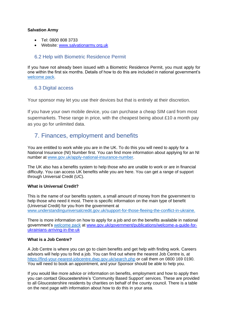#### **Salvation Army**

- Tel: 0800 808 3733
- Website: [www.salvationarmy.org.uk](http://www.salvationarmy.org.uk/)

# <span id="page-9-0"></span>6.2 Help with Biometric Residence Permit

If you have not already been issued with a Biometric Residence Permit, you must apply for one within the first six months. Details of how to do this are included in national government's [welcome pack.](https://assets.publishing.service.gov.uk/government/uploads/system/uploads/attachment_data/file/1064315/Ukraine_Welcome_Guidance.pdf)

## <span id="page-9-1"></span>6.3 Digital access

Your sponsor may let you use their devices but that is entirely at their discretion.

If you have your own mobile device, you can purchase a cheap SIM card from most supermarkets. These range in price, with the cheapest being about £10 a month pay as you go for unlimited data.

# <span id="page-9-2"></span>7. Finances, employment and benefits

You are entitled to work while you are in the UK. To do this you will need to apply for a National Insurance (NI) Number first. You can find more information about applying for an NI number at [www.gov.uk/apply-national-insurance-number.](http://www.gov.uk/apply-national-insurance-number)

The UK also has a benefits system to help those who are unable to work or are in financial difficulty. You can access UK benefits while you are here. You can get a range of support through Universal Credit (UC).

#### **What is Universal Credit?**

This is the name of our benefits system, a small amount of money from the government to help those who need it most. There is specific information on the main type of benefit (Universal Credit) for you from the government at [www.understandinguniversalcredit.gov.uk/support-for-those-fleeing-the-conflict-in-ukraine.](http://www.understandinguniversalcredit.gov.uk/support-for-those-fleeing-the-conflict-in-ukraine)

There is more information on how to apply for a job and on the benefits available in national government's welcome pack at [www.gov.uk/government/publications/welcome-a-guide-for](https://www.gov.uk/government/publications/welcome-a-guide-for-ukrainians-arriving-in-the-uk)[ukrainians-arriving-in-the-uk](https://www.gov.uk/government/publications/welcome-a-guide-for-ukrainians-arriving-in-the-uk)

#### **What is a Job Centre?**

A Job Centre is where you can go to claim benefits and get help with finding work. Careers advisors will help you to find a job. You can find out where the nearest Job Centre is, at <https://find-your-nearest-jobcentre.dwp.gov.uk/search.php> or call them on 0800 169 0190. You will need to book an appointment, and your Sponsor should be able to help you.

If you would like more advice or information on benefits, employment and how to apply then you can contact Gloucestershire's 'Community Based Support' services. These are provided to all Gloucestershire residents by charities on behalf of the county council. There is a table on the next page with information about how to do this in your area.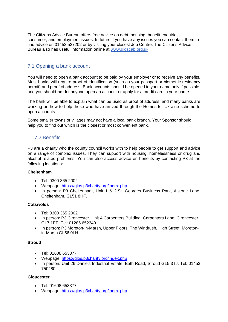The Citizens Advice Bureau offers free advice on debt, housing, benefit enquiries, consumer, and employment issues. In future if you have any issues you can contact them to find advice on 01452 527202 or by visiting your closest Job Centre. The Citizens Advice Bureau also has useful information online at [www.gloscab.org.uk.](http://www.gloscab.org.uk/)

# <span id="page-10-0"></span>7.1 Opening a bank account

You will need to open a bank account to be paid by your employer or to receive any benefits. Most banks will require proof of identification (such as your passport or biometric residency permit) and proof of address. Bank accounts should be opened in your name only if possible, and you should **not** let anyone open an account or apply for a credit card in your name.

The bank will be able to explain what can be used as proof of address, and many banks are working on how to help those who have arrived through the Homes for Ukraine scheme to open accounts.

Some smaller towns or villages may not have a local bank branch. Your Sponsor should help you to find out which is the closest or most convenient bank.

# <span id="page-10-1"></span>7.2 Benefits

P3 are a charity who the county council works with to help people to get support and advice on a range of complex issues. They can support with housing, homelessness or drug and alcohol related problems. You can also access advice on benefits by contacting P3 at the following locations:

#### **Cheltenham**

- Tel: 0300 365 2002
- Webpage:<https://glos.p3charity.org/index.php>
- In person: P3 Cheltenham, Unit 1 & 2, St. Georges Business Park, Alstone Lane, Cheltenham, GL51 8HF.

#### **Cotswolds**

- Tel: 0300 365 2002
- In person: P3 Cirencester, Unit 4 Carpenters Building, Carpenters Lane, Cirencester GL7 1EE. Tel: 01285 652340
- In person: P3 Moreton-in-Marsh, Upper Floors, The Windrush, High Street, Moretonin-Marsh GL56 0LH.

#### **Stroud**

- Tel: 01608 653377
- Webpage:<https://glos.p3charity.org/index.php>
- In person: Unit 26 Daniels Industrial Estate, Bath Road, Stroud GL5 3TJ, Tel: 01453 750480.

#### **Gloucester**

- Tel: 01608 653377
- Webpage:<https://glos.p3charity.org/index.php>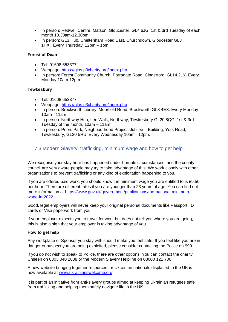- In person: Redwell Centre, Matson, Gloucester, GL4 6JG. 1st & 3rd Tuesday of each month 10.30am-12.30pm
- In person: GL3 Hub, Cheltenham Road East, Churchdown, Gloucester GL3 1HX. Every Thursday, 12pm – 1pm

#### **Forest of Dean**

- Tel: 01608 653377
- Webpage:<https://glos.p3charity.org/index.php>
- In person: Forest Community Church, Parragate Road, Cinderford, GL14 2LY. Every Monday 10am-12pm.

#### **Tewkesbury**

- Tel: 01608 653377
- Webpage:<https://glos.p3charity.org/index.php>
- In person: Brockworth Library, Moorfield Road, Brockworth GL3 4EX. Every Monday 10am - 11am
- In person: Northway Hub, Lee Walk, Northway, Tewkesbury GL20 8QG. 1st & 3rd Tuesday of the month, 10am – 11am
- In person: Priors Park, Neighbourhood Project, Jubilee II Building, York Road, Tewkesbury, GL20 5HU. Every Wednesday 10am - 12pm.

## <span id="page-11-0"></span>7.3 Modern Slavery, trafficking, minimum wage and how to get help

We recognise your stay here has happened under horrible circumstances, and the county council are very aware people may try to take advantage of this. We work closely with other organisations to prevent trafficking or any kind of exploitation happening to you.

If you are offered paid work, you should know the minimum wage you are entitled to is £9.50 per hour. There are different rates if you are younger than 23 years of age. You can find out more information at [https://www.gov.uk/government/publications/the-national-minimum](https://www.gov.uk/government/publications/the-national-minimum-wage-in-2022)[wage-in-2022](https://www.gov.uk/government/publications/the-national-minimum-wage-in-2022)

Good, legal employers will never keep your original personal documents like Passport, ID cards or Visa paperwork from you.

If your employer expects you to travel for work but does not tell you where you are going, this is also a sign that your employer is taking advantage of you.

#### **How to get help**

Any workplace or Sponsor you stay with should make you feel safe. If you feel like you are in danger or suspect you are being exploited, please consider contacting the Police on 999.

If you do not wish to speak to Police, there are other options. You can contact the charity Unseen on 0303 040 2888 or the Modern Slavery Helpline on 08000 121 700.

A new website bringing together resources for Ukrainian nationals displaced to the UK is now available at [www.ukrainianswelcome.org](http://www.ukrainianswelcome.org/)

It is part of an initiative from anti-slavery groups aimed at keeping Ukrainian refugees safe from trafficking and helping them safely navigate life in the UK.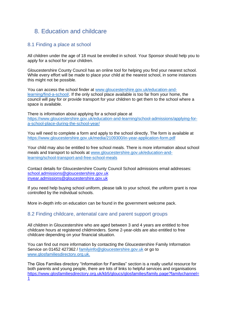# <span id="page-12-0"></span>8. Education and childcare

## <span id="page-12-1"></span>8.1 Finding a place at school

All children under the age of 18 must be enrolled in school. Your Sponsor should help you to apply for a school for your children.

Gloucestershire County Council has an online tool for helping you find your nearest school. While every effort will be made to place your child at the nearest school, in some instances this might not be possible.

You can access the school finder at [www.gloucestershire.gov.uk/education-and](http://www.gloucestershire.gov.uk/education-and-learning/find-a-school/)[learning/find-a-school/.](http://www.gloucestershire.gov.uk/education-and-learning/find-a-school/) If the only school place available is too far from your home, the council will pay for or provide transport for your children to get them to the school where a space is available.

There is information about applying for a school place at [https://www.gloucestershire.gov.uk/education-and-learning/school-admissions/applying-for](https://www.gloucestershire.gov.uk/education-and-learning/school-admissions/applying-for-a-school-place-during-the-school-year/)[a-school-place-during-the-school-year/](https://www.gloucestershire.gov.uk/education-and-learning/school-admissions/applying-for-a-school-place-during-the-school-year/)

You will need to complete a form and apply to the school directly. The form is available at <https://www.gloucestershire.gov.uk/media/2109300/in-year-application-form.pdf>

Your child may also be entitled to free school meals. There is more information about school meals and transport to schools at [www.gloucestershire.gov.uk/education-and](http://www.gloucestershire.gov.uk/education-and-learning/school-transport-and-free-school-meals)[learning/school-transport-and-free-school-meals](http://www.gloucestershire.gov.uk/education-and-learning/school-transport-and-free-school-meals)

Contact details for Gloucestershire County Council School admissions email addresses: [school.admissions@gloucestershire.gov.uk](mailto:school.admissions@gloucestershire.gov.uk) [inyear.admissions@gloucestershire.gov.uk](mailto:inyear.admissions@gloucestershire.gov.uk)

If you need help buying school uniform, please talk to your school, the uniform grant is now controlled by the individual schools.

More in-depth info on education can be found in the government welcome pack.

#### <span id="page-12-2"></span>8.2 Finding childcare, antenatal care and parent support groups

All children in Gloucestershire who are aged between 3 and 4 years are entitled to free childcare hours at registered childminders. Some 2-year-olds are also entitled to free childcare depending on your financial situation.

You can find out more information by contacting the Gloucestershire Family Information Service on 01452 427362 / [familyinfo@gloucestershire.gov.uk](mailto:familyinfo@gloucestershire.gov.uk) or go to [www.glosfamiliesdirectory.org.uk.](http://www.glosfamiliesdirectory.org.uk/)

The Glos Families directory "Information for Families" section is a really useful resource for both parents and young people, there are lots of links to helpful services and organisations [https://www.glosfamiliesdirectory.org.uk/kb5/gloucs/glosfamilies/family.page?familychannel=](https://www.glosfamiliesdirectory.org.uk/kb5/gloucs/glosfamilies/family.page?familychannel=1) [1](https://www.glosfamiliesdirectory.org.uk/kb5/gloucs/glosfamilies/family.page?familychannel=1)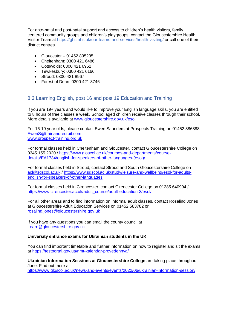For ante-natal and post-natal support and access to children's health visitors, family centered community groups and children's playgroups, contact the Gloucestershire Health Visitor Team at<https://ghc.nhs.uk/our-teams-and-services/health-visiting/> or call one of their district centres.

- Gloucester 01452 895235
- Cheltenham: 0300 421 6486
- Cotswolds: 0300 421 6952
- Tewkesbury: 0300 421 6166
- Stroud: 0300 421 8967
- Forest of Dean: 0300 421 8746

## <span id="page-13-0"></span>8.3 Learning English, post 16 and post 19 Education and Training

If you are 19+ years and would like to improve your English language skills, you are entitled to 8 hours of free classes a week. School aged children receive classes through their school. More details available at [www.gloucestershire.gov.uk/esol](http://www.gloucestershire.gov.uk/esol)

For 16-19 year olds, please contact Ewen Saunders at Prospects Training on 01452 886888 [EwenS@trainandrecruit.com](mailto:EwenS@trainandrecruit.com) [www.prospect-training.org.uk](http://www.prospect-training.org.uk/)

For formal classes held in Cheltenham and Gloucester, contact Gloucestershire College on 0345 155 2020 / [https://www.gloscol.ac.uk/courses-and-departments/course](https://www.gloscol.ac.uk/courses-and-departments/course-details/EA1734/english-for-speakers-of-other-languages-(esol)/)[details/EA1734/english-for-speakers-of-other-languages-\(esol\)/](https://www.gloscol.ac.uk/courses-and-departments/course-details/EA1734/english-for-speakers-of-other-languages-(esol)/)

For formal classes held in Stroud, contact Stroud and South Gloucestershire College on [acl@sgscol.ac.uk](mailto:acl@sgscol.ac.uk) / [https://www.sgscol.ac.uk/study/leisure-and-wellbeing/esol-for-adults](https://www.sgscol.ac.uk/study/leisure-and-wellbeing/esol-for-adults-english-for-speakers-of-other-languages)[english-for-speakers-of-other-languages](https://www.sgscol.ac.uk/study/leisure-and-wellbeing/esol-for-adults-english-for-speakers-of-other-languages)

For formal classes held in Cirencester, contact Cirencester College on 01285 640994 / [https://www.cirencester.ac.uk/adult\\_course/adult-education-3/esol/](https://www.cirencester.ac.uk/adult_course/adult-education-3/esol/)

For all other areas and to find information on informal adult classes, contact Rosalind Jones at Gloucestershire Adult Education Services on 01452 583782 or [rosalind.jones@gloucestershire.gov.uk](mailto:rosalind.jones@gloucestershire.gov.uk)

If you have any questions you can email the county council at [Learn@gloucestershire.gov.uk](mailto:Learn@gloucestershire.gov.uk)

#### **University entrance exams for Ukrainian students in the UK**

You can find important timetable and further information on how to register and sit the exams at<https://testportal.gov.ua/nmt-kalendar-provedennya/>

**Ukrainian Information Sessions at Gloucestershire College** are taking place throughout June. Find out more at

<https://www.gloscol.ac.uk/news-and-events/events/2022/06/ukrainian-information-session/>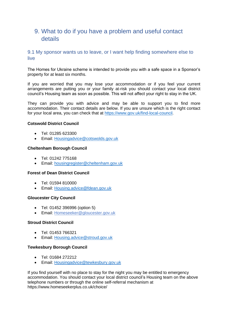# <span id="page-14-0"></span>9. What to do if you have a problem and useful contact details

## <span id="page-14-1"></span>9.1 My sponsor wants us to leave, or I want help finding somewhere else to live

The Homes for Ukraine scheme is intended to provide you with a safe space in a Sponsor's property for at least six months.

If you are worried that you may lose your accommodation or if you feel your current arrangements are putting you or your family at-risk you should contact your local district council's Housing team as soon as possible. This will not affect your right to stay in the UK.

They can provide you with advice and may be able to support you to find more accommodation. Their contact details are below. If you are unsure which is the right contact for your local area, you can check that at [https://www.gov.uk/find-local-council.](https://www.gov.uk/find-local-council)

#### **Cotswold District Council**

- Tel: 01285 623300
- Email: [Housingadvice@cotswolds.gov.uk](mailto:Housingadvice@cotswolds.gov.uk)

#### **Cheltenham Borough Council**

- Tel: 01242 775168
- Email: [housingregister@cheltenham.gov.uk](mailto:housingregister@cheltenham.gov.uk)

#### **Forest of Dean District Council**

- Tel: 01594 810000
- Email: [Housing.advice@fdean.gov.uk](mailto:Housing.advice@fdean.gov.uk)

#### **Gloucester City Council**

- Tel: 01452 396996 (option 5)
- Email: [Homeseeker@gloucester.gov.uk](mailto:Homeseeker@gloucester.gov.uk)

#### **Stroud District Council**

- Tel: 01453 766321
- Email: [Housing.advice@stroud.gov.uk](mailto:Housing.advice@stroud.gov.uk)

#### **Tewkesbury Borough Council**

- Tel: 01684 272212
- Email: [Housingadvice@tewkesbury.gov.uk](mailto:Housingadvice@tewkesbury.gov.uk)

If you find yourself with no place to stay for the night you may be entitled to emergency accommodation. You should contact your local district council's Housing team on the above telephone numbers or through the online self-referral mechanism at https://www.homeseekerplus.co.uk/choice/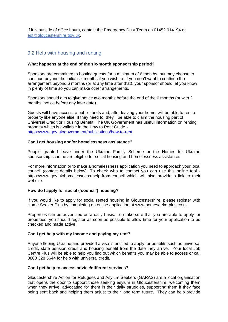If it is outside of office hours, contact the Emergency Duty Team on 01452 614194 or [edt@gloucestershire.gov.uk.](mailto:edt@gloucestershire.gov.uk)

## <span id="page-15-0"></span>9.2 Help with housing and renting

#### **What happens at the end of the six-month sponsorship period?**

Sponsors are committed to hosting guests for a minimum of 6 months, but may choose to continue beyond the initial six months if you wish to. If you don't want to continue the arrangement beyond 6 months (or at any time after that), your sponsor should let you know in plenty of time so you can make other arrangements.

Sponsors should aim to give notice two months before the end of the 6 months (or with 2 months' notice before any later date).

Guests will have access to public funds and, after leaving your home, will be able to rent a property like anyone else. If they need to, they'll be able to claim the housing part of Universal Credit or Housing Benefit. The UK Government has useful information on renting property which is available in the How to Rent Guide <https://www.gov.uk/government/publications/how-to-rent>

#### **Can I get housing and/or homelessness assistance?**

People granted leave under the Ukraine Family Scheme or the Homes for Ukraine sponsorship scheme are eligible for social housing and homelessness assistance.

For more information or to make a homelessness application you need to approach your local council (contact details below). To check who to contact you can use this online tool https://www.gov.uk/homelessness-help-from-council which will also provide a link to their website.

#### **How do I apply for social ('council') housing?**

If you would like to apply for social rented housing in Gloucestershire, please register with Home Seeker Plus by completing an online application at www.homeseekerplus.co.uk

Properties can be advertised on a daily basis. To make sure that you are able to apply for properties, you should register as soon as possible to allow time for your application to be checked and made active.

#### **Can I get help with my income and paying my rent?**

Anyone fleeing Ukraine and provided a visa is entitled to apply for benefits such as universal credit, state pension credit and housing benefit from the date they arrive. Your local Job Centre Plus will be able to help you find out which benefits you may be able to access or call 0800 328 5644 for help with universal credit.

#### **Can I get help to access advice/different services?**

Gloucestershire Action for Refugees and Asylum Seekers (GARAS) are a local organisation that opens the door to support those seeking asylum in Gloucestershire, welcoming them when they arrive, advocating for them in their daily struggles, supporting them if they face being sent back and helping them adjust to their long term future. They can help provide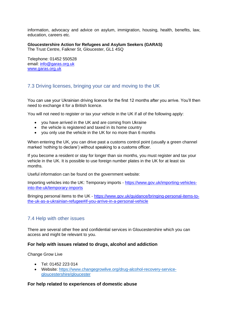information, advocacy and advice on asylum, immigration, housing, health, benefits, law, education, careers etc.

#### **Gloucestershire Action for Refugees and Asylum Seekers (GARAS)**

The Trust Centre, Falkner St, Gloucester, GL1 4SQ

Telephone: 01452 550528 email: [info@garas.org.uk](mailto:info@garas.org.uk) [www.garas.org.uk](http://www.garas.org.uk/)

## <span id="page-16-0"></span>7.3 Driving licenses, bringing your car and moving to the UK

You can use your Ukrainian driving licence for the first 12 months after you arrive. You'll then need to exchange it for a British licence.

You will not need to register or tax your vehicle in the UK if all of the following apply:

- you have arrived in the UK and are coming from Ukraine
- the vehicle is registered and taxed in its home country
- you only use the vehicle in the UK for no more than 6 months

When entering the UK, you can drive past a customs control point (usually a green channel marked 'nothing to declare') without speaking to a customs officer.

If you become a resident or stay for longer than six months, you must register and tax your vehicle in the UK. It is possible to use foreign number plates in the UK for at least six months.

Useful information can be found on the government website:

Importing vehicles into the UK: Temporary imports - [https://www.gov.uk/importing-vehicles](https://www.gov.uk/importing-vehicles-into-the-uk/temporary-imports?)[into-the-uk/temporary-imports](https://www.gov.uk/importing-vehicles-into-the-uk/temporary-imports?)

Bringing personal items to the UK - [https://www.gov.uk/guidance/bringing-personal-items-to](https://www.gov.uk/guidance/bringing-personal-items-to-the-uk-as-a-ukrainian-refugee#if-you-arrive-in-a-personal-vehicle)[the-uk-as-a-ukrainian-refugee#if-you-arrive-in-a-personal-vehicle](https://www.gov.uk/guidance/bringing-personal-items-to-the-uk-as-a-ukrainian-refugee#if-you-arrive-in-a-personal-vehicle)

# <span id="page-16-1"></span>7.4 Help with other issues

There are several other free and confidential services in Gloucestershire which you can access and might be relevant to you.

#### **For help with issues related to drugs, alcohol and addiction**

Change Grow Live

- Tel: 01452 223 014
- Website: [https://www.changegrowlive.org/drug-alcohol-recovery-service](https://www.changegrowlive.org/drug-alcohol-recovery-service-gloucestershire/gloucester)[gloucestershire/gloucester](https://www.changegrowlive.org/drug-alcohol-recovery-service-gloucestershire/gloucester)

#### **For help related to experiences of domestic abuse**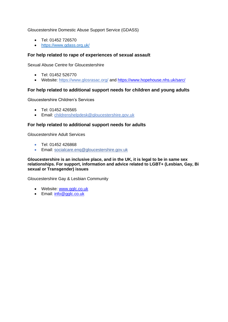Gloucestershire Domestic Abuse Support Service (GDASS)

- Tel: 01452 726570
- <https://www.gdass.org.uk/>

#### **For help related to rape of experiences of sexual assault**

Sexual Abuse Centre for Gloucestershire

- Tel: 01452 526770
- Website:<https://www.glosrasac.org/> and<https://www.hopehouse.nhs.uk/sarc/>

#### **For help related to additional support needs for children and young adults**

Gloucestershire Children's Services

- Tel: 01452 426565
- Email: [childrenshelpdesk@gloucestershire.gov.uk](mailto:childrenshelpdesk@gloucestershire.gov.uk)

#### **For help related to additional support needs for adults**

Gloucestershire Adult Services

- Tel: 01452 426868
- Email: [socialcare.enq@gloucestershire.gov.uk](mailto:socialcare.enq@gloucestershire.gov.uk)

**Gloucestershire is an inclusive place, and in the UK, it is legal to be in same sex relationships. For support, information and advice related to LGBT+ (Lesbian, Gay, Bi sexual or Transgender) issues**

Gloucestershire Gay & Lesbian Community

- Website: [www.gglc.co.uk](http://www.gglc.co.uk/)
- Email: [info@gglc.co.uk](mailto:info@gglc.co.uk)